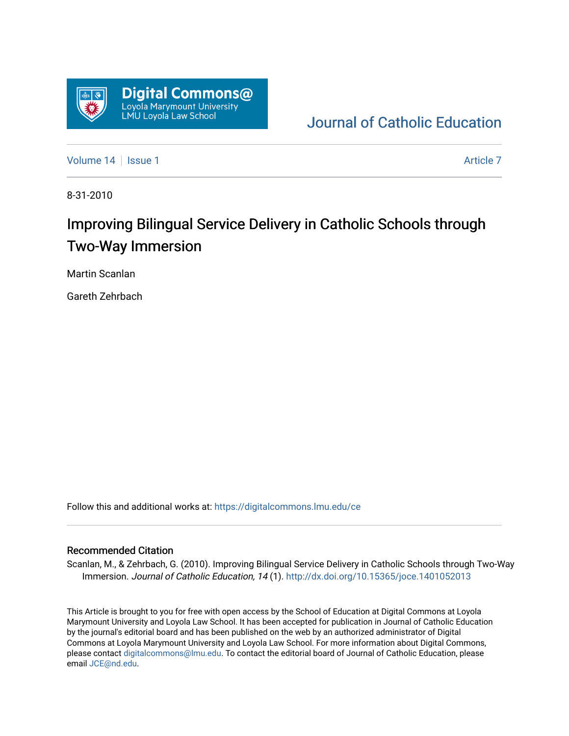

## [Journal of Catholic Education](https://digitalcommons.lmu.edu/ce)

[Volume 14](https://digitalcommons.lmu.edu/ce/vol14) Suitsue 1 [Article 7](https://digitalcommons.lmu.edu/ce/vol14/iss1/7) Article 7 Article 7 Article 7 Article 7 Article 7

8-31-2010

# Improving Bilingual Service Delivery in Catholic Schools through Two-Way Immersion

Martin Scanlan

Gareth Zehrbach

Follow this and additional works at: [https://digitalcommons.lmu.edu/ce](https://digitalcommons.lmu.edu/ce?utm_source=digitalcommons.lmu.edu%2Fce%2Fvol14%2Fiss1%2F7&utm_medium=PDF&utm_campaign=PDFCoverPages)

#### Recommended Citation

Scanlan, M., & Zehrbach, G. (2010). Improving Bilingual Service Delivery in Catholic Schools through Two-Way Immersion. Journal of Catholic Education, 14 (1).<http://dx.doi.org/10.15365/joce.1401052013>

This Article is brought to you for free with open access by the School of Education at Digital Commons at Loyola Marymount University and Loyola Law School. It has been accepted for publication in Journal of Catholic Education by the journal's editorial board and has been published on the web by an authorized administrator of Digital Commons at Loyola Marymount University and Loyola Law School. For more information about Digital Commons, please contact [digitalcommons@lmu.edu](mailto:digitalcommons@lmu.edu). To contact the editorial board of Journal of Catholic Education, please email [JCE@nd.edu](mailto:JCE@nd.edu).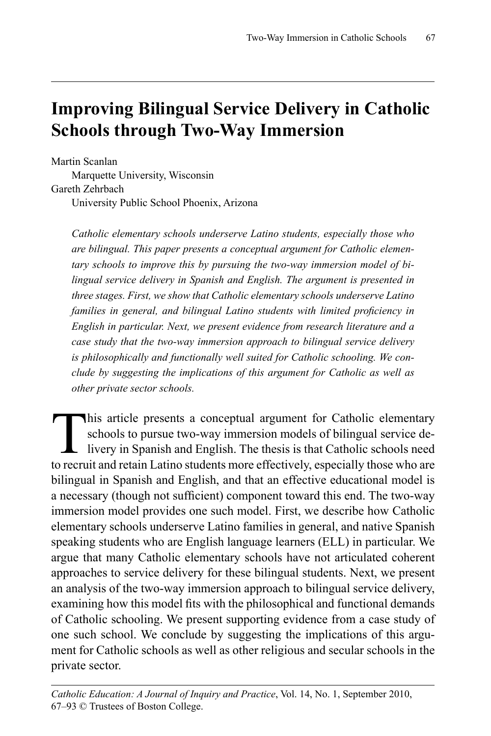## **Improving Bilingual Service Delivery in Catholic Schools through Two-Way Immersion**

Martin Scanlan Marquette University, Wisconsin Gareth Zehrbach University Public School Phoenix, Arizona

*Catholic elementary schools underserve Latino students, especially those who are bilingual. This paper presents a conceptual argument for Catholic elementary schools to improve this by pursuing the two-way immersion model of bilingual service delivery in Spanish and English. The argument is presented in three stages. First, we show that Catholic elementary schools underserve Latino families in general, and bilingual Latino students with limited proficiency in English in particular. Next, we present evidence from research literature and a case study that the two-way immersion approach to bilingual service delivery is philosophically and functionally well suited for Catholic schooling. We conclude by suggesting the implications of this argument for Catholic as well as other private sector schools.*

This article presents a conceptual argument for Catholic elementary<br>schools to pursue two-way immersion models of bilingual service de-<br>livery in Spanish and English. The thesis is that Catholic schools need<br>to require the schools to pursue two-way immersion models of bilingual service delivery in Spanish and English. The thesis is that Catholic schools need to recruit and retain Latino students more effectively, especially those who are bilingual in Spanish and English, and that an effective educational model is a necessary (though not sufficient) component toward this end. The two-way immersion model provides one such model. First, we describe how Catholic elementary schools underserve Latino families in general, and native Spanish speaking students who are English language learners (ELL) in particular. We argue that many Catholic elementary schools have not articulated coherent approaches to service delivery for these bilingual students. Next, we present an analysis of the two-way immersion approach to bilingual service delivery, examining how this model fits with the philosophical and functional demands of Catholic schooling. We present supporting evidence from a case study of one such school. We conclude by suggesting the implications of this argument for Catholic schools as well as other religious and secular schools in the private sector.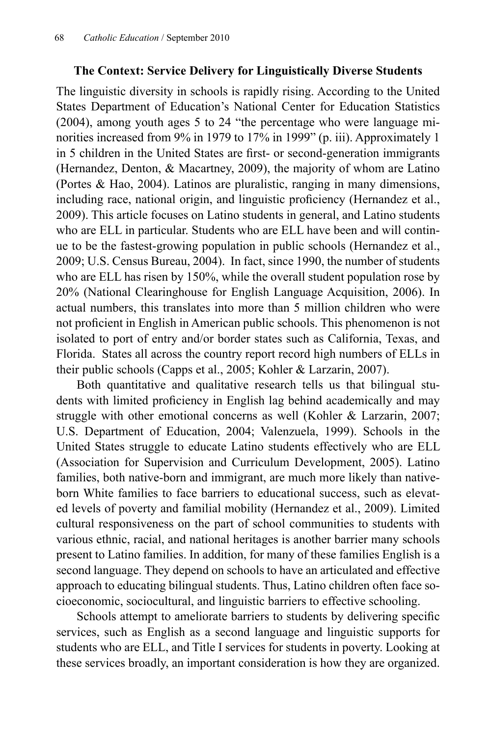### **The Context: Service Delivery for Linguistically Diverse Students**

The linguistic diversity in schools is rapidly rising. According to the United States Department of Education's National Center for Education Statistics (2004), among youth ages 5 to 24 "the percentage who were language minorities increased from 9% in 1979 to 17% in 1999" (p. iii). Approximately 1 in 5 children in the United States are first- or second-generation immigrants (Hernandez, Denton, & Macartney, 2009), the majority of whom are Latino (Portes & Hao, 2004). Latinos are pluralistic, ranging in many dimensions, including race, national origin, and linguistic proficiency (Hernandez et al., 2009). This article focuses on Latino students in general, and Latino students who are ELL in particular. Students who are ELL have been and will continue to be the fastest-growing population in public schools (Hernandez et al., 2009; U.S. Census Bureau, 2004). In fact, since 1990, the number of students who are ELL has risen by 150%, while the overall student population rose by 20% (National Clearinghouse for English Language Acquisition, 2006). In actual numbers, this translates into more than 5 million children who were not proficient in English in American public schools. This phenomenon is not isolated to port of entry and/or border states such as California, Texas, and Florida. States all across the country report record high numbers of ELLs in their public schools (Capps et al., 2005; Kohler & Larzarin, 2007).

Both quantitative and qualitative research tells us that bilingual students with limited proficiency in English lag behind academically and may struggle with other emotional concerns as well (Kohler & Larzarin, 2007; U.S. Department of Education, 2004; Valenzuela, 1999). Schools in the United States struggle to educate Latino students effectively who are ELL (Association for Supervision and Curriculum Development, 2005). Latino families, both native-born and immigrant, are much more likely than nativeborn White families to face barriers to educational success, such as elevated levels of poverty and familial mobility (Hernandez et al., 2009). Limited cultural responsiveness on the part of school communities to students with various ethnic, racial, and national heritages is another barrier many schools present to Latino families. In addition, for many of these families English is a second language. They depend on schools to have an articulated and effective approach to educating bilingual students. Thus, Latino children often face socioeconomic, sociocultural, and linguistic barriers to effective schooling.

Schools attempt to ameliorate barriers to students by delivering specific services, such as English as a second language and linguistic supports for students who are ELL, and Title I services for students in poverty. Looking at these services broadly, an important consideration is how they are organized.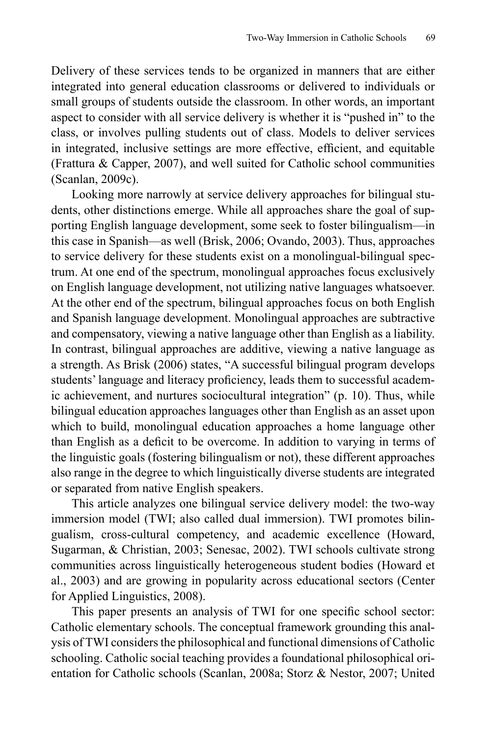Delivery of these services tends to be organized in manners that are either integrated into general education classrooms or delivered to individuals or small groups of students outside the classroom. In other words, an important aspect to consider with all service delivery is whether it is "pushed in" to the class, or involves pulling students out of class. Models to deliver services in integrated, inclusive settings are more effective, efficient, and equitable (Frattura & Capper, 2007), and well suited for Catholic school communities (Scanlan, 2009c).

Looking more narrowly at service delivery approaches for bilingual students, other distinctions emerge. While all approaches share the goal of supporting English language development, some seek to foster bilingualism—in this case in Spanish—as well (Brisk, 2006; Ovando, 2003). Thus, approaches to service delivery for these students exist on a monolingual-bilingual spectrum. At one end of the spectrum, monolingual approaches focus exclusively on English language development, not utilizing native languages whatsoever. At the other end of the spectrum, bilingual approaches focus on both English and Spanish language development. Monolingual approaches are subtractive and compensatory, viewing a native language other than English as a liability. In contrast, bilingual approaches are additive, viewing a native language as a strength. As Brisk (2006) states, "A successful bilingual program develops students' language and literacy proficiency, leads them to successful academic achievement, and nurtures sociocultural integration" (p. 10). Thus, while bilingual education approaches languages other than English as an asset upon which to build, monolingual education approaches a home language other than English as a deficit to be overcome. In addition to varying in terms of the linguistic goals (fostering bilingualism or not), these different approaches also range in the degree to which linguistically diverse students are integrated or separated from native English speakers.

This article analyzes one bilingual service delivery model: the two-way immersion model (TWI; also called dual immersion). TWI promotes bilingualism, cross-cultural competency, and academic excellence (Howard, Sugarman, & Christian, 2003; Senesac, 2002). TWI schools cultivate strong communities across linguistically heterogeneous student bodies (Howard et al., 2003) and are growing in popularity across educational sectors (Center for Applied Linguistics, 2008).

This paper presents an analysis of TWI for one specific school sector: Catholic elementary schools. The conceptual framework grounding this analysis of TWI considers the philosophical and functional dimensions of Catholic schooling. Catholic social teaching provides a foundational philosophical orientation for Catholic schools (Scanlan, 2008a; Storz & Nestor, 2007; United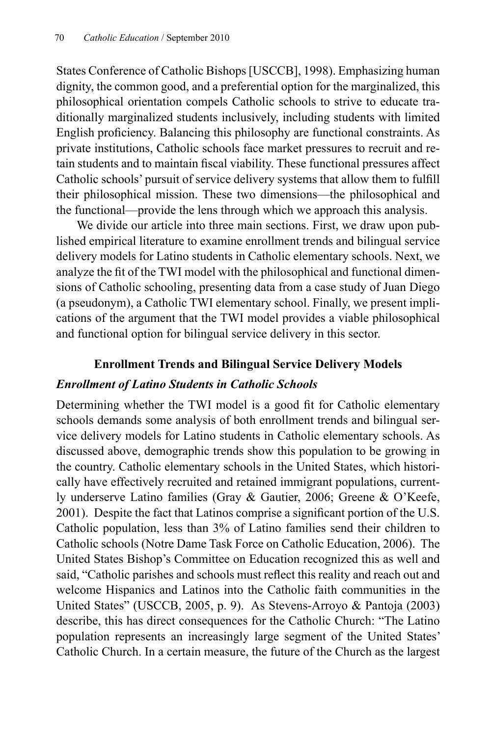States Conference of Catholic Bishops [USCCB], 1998). Emphasizing human dignity, the common good, and a preferential option for the marginalized, this philosophical orientation compels Catholic schools to strive to educate traditionally marginalized students inclusively, including students with limited English proficiency. Balancing this philosophy are functional constraints. As private institutions, Catholic schools face market pressures to recruit and retain students and to maintain fiscal viability. These functional pressures affect Catholic schools' pursuit of service delivery systems that allow them to fulfill their philosophical mission. These two dimensions—the philosophical and the functional—provide the lens through which we approach this analysis.

We divide our article into three main sections. First, we draw upon published empirical literature to examine enrollment trends and bilingual service delivery models for Latino students in Catholic elementary schools. Next, we analyze the fit of the TWI model with the philosophical and functional dimensions of Catholic schooling, presenting data from a case study of Juan Diego (a pseudonym), a Catholic TWI elementary school. Finally, we present implications of the argument that the TWI model provides a viable philosophical and functional option for bilingual service delivery in this sector.

### **Enrollment Trends and Bilingual Service Delivery Models**

#### *Enrollment of Latino Students in Catholic Schools*

Determining whether the TWI model is a good fit for Catholic elementary schools demands some analysis of both enrollment trends and bilingual service delivery models for Latino students in Catholic elementary schools. As discussed above, demographic trends show this population to be growing in the country. Catholic elementary schools in the United States, which historically have effectively recruited and retained immigrant populations, currently underserve Latino families (Gray & Gautier, 2006; Greene & O'Keefe, 2001). Despite the fact that Latinos comprise a significant portion of the U.S. Catholic population, less than 3% of Latino families send their children to Catholic schools (Notre Dame Task Force on Catholic Education, 2006). The United States Bishop's Committee on Education recognized this as well and said, "Catholic parishes and schools must reflect this reality and reach out and welcome Hispanics and Latinos into the Catholic faith communities in the United States" (USCCB, 2005, p. 9). As Stevens-Arroyo & Pantoja (2003) describe, this has direct consequences for the Catholic Church: "The Latino population represents an increasingly large segment of the United States' Catholic Church. In a certain measure, the future of the Church as the largest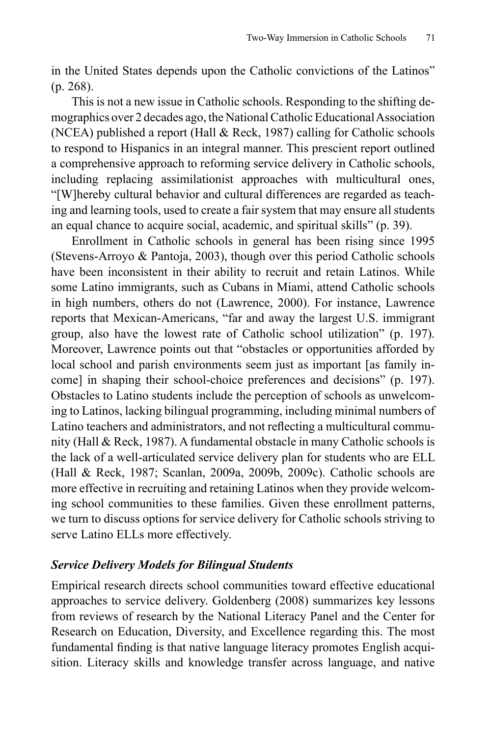in the United States depends upon the Catholic convictions of the Latinos" (p. 268).

This is not a new issue in Catholic schools. Responding to the shifting demographics over 2 decades ago, the National Catholic Educational Association (NCEA) published a report (Hall & Reck, 1987) calling for Catholic schools to respond to Hispanics in an integral manner. This prescient report outlined a comprehensive approach to reforming service delivery in Catholic schools, including replacing assimilationist approaches with multicultural ones, "[W]hereby cultural behavior and cultural differences are regarded as teaching and learning tools, used to create a fair system that may ensure all students an equal chance to acquire social, academic, and spiritual skills" (p. 39).

Enrollment in Catholic schools in general has been rising since 1995 (Stevens-Arroyo & Pantoja, 2003), though over this period Catholic schools have been inconsistent in their ability to recruit and retain Latinos. While some Latino immigrants, such as Cubans in Miami, attend Catholic schools in high numbers, others do not (Lawrence, 2000). For instance, Lawrence reports that Mexican-Americans, "far and away the largest U.S. immigrant group, also have the lowest rate of Catholic school utilization" (p. 197). Moreover, Lawrence points out that "obstacles or opportunities afforded by local school and parish environments seem just as important [as family income] in shaping their school-choice preferences and decisions" (p. 197). Obstacles to Latino students include the perception of schools as unwelcoming to Latinos, lacking bilingual programming, including minimal numbers of Latino teachers and administrators, and not reflecting a multicultural community (Hall & Reck, 1987). A fundamental obstacle in many Catholic schools is the lack of a well-articulated service delivery plan for students who are ELL (Hall & Reck, 1987; Scanlan, 2009a, 2009b, 2009c). Catholic schools are more effective in recruiting and retaining Latinos when they provide welcoming school communities to these families. Given these enrollment patterns, we turn to discuss options for service delivery for Catholic schools striving to serve Latino ELLs more effectively.

#### *Service Delivery Models for Bilingual Students*

Empirical research directs school communities toward effective educational approaches to service delivery. Goldenberg (2008) summarizes key lessons from reviews of research by the National Literacy Panel and the Center for Research on Education, Diversity, and Excellence regarding this. The most fundamental finding is that native language literacy promotes English acquisition. Literacy skills and knowledge transfer across language, and native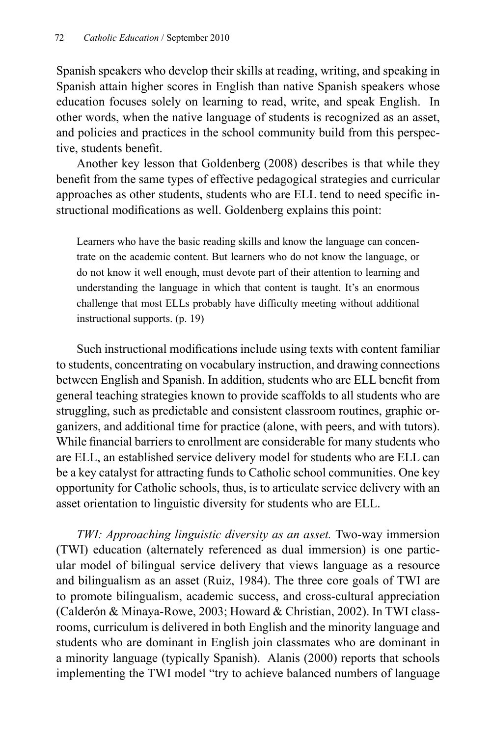Spanish speakers who develop their skills at reading, writing, and speaking in Spanish attain higher scores in English than native Spanish speakers whose education focuses solely on learning to read, write, and speak English. In other words, when the native language of students is recognized as an asset, and policies and practices in the school community build from this perspective, students benefit.

Another key lesson that Goldenberg (2008) describes is that while they benefit from the same types of effective pedagogical strategies and curricular approaches as other students, students who are ELL tend to need specific instructional modifications as well. Goldenberg explains this point:

Learners who have the basic reading skills and know the language can concentrate on the academic content. But learners who do not know the language, or do not know it well enough, must devote part of their attention to learning and understanding the language in which that content is taught. It's an enormous challenge that most ELLs probably have difficulty meeting without additional instructional supports. (p. 19)

Such instructional modifications include using texts with content familiar to students, concentrating on vocabulary instruction, and drawing connections between English and Spanish. In addition, students who are ELL benefit from general teaching strategies known to provide scaffolds to all students who are struggling, such as predictable and consistent classroom routines, graphic organizers, and additional time for practice (alone, with peers, and with tutors). While financial barriers to enrollment are considerable for many students who are ELL, an established service delivery model for students who are ELL can be a key catalyst for attracting funds to Catholic school communities. One key opportunity for Catholic schools, thus, is to articulate service delivery with an asset orientation to linguistic diversity for students who are ELL.

*TWI: Approaching linguistic diversity as an asset.* Two-way immersion (TWI) education (alternately referenced as dual immersion) is one particular model of bilingual service delivery that views language as a resource and bilingualism as an asset (Ruiz, 1984). The three core goals of TWI are to promote bilingualism, academic success, and cross-cultural appreciation (Calderón & Minaya-Rowe, 2003; Howard & Christian, 2002). In TWI classrooms, curriculum is delivered in both English and the minority language and students who are dominant in English join classmates who are dominant in a minority language (typically Spanish). Alanis (2000) reports that schools implementing the TWI model "try to achieve balanced numbers of language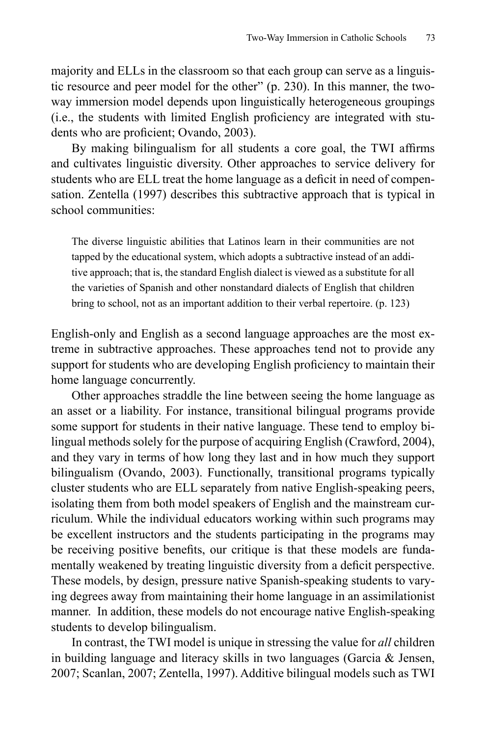majority and ELLs in the classroom so that each group can serve as a linguistic resource and peer model for the other" (p. 230). In this manner, the twoway immersion model depends upon linguistically heterogeneous groupings (i.e., the students with limited English proficiency are integrated with students who are proficient; Ovando, 2003).

By making bilingualism for all students a core goal, the TWI affirms and cultivates linguistic diversity. Other approaches to service delivery for students who are ELL treat the home language as a deficit in need of compensation. Zentella (1997) describes this subtractive approach that is typical in school communities:

The diverse linguistic abilities that Latinos learn in their communities are not tapped by the educational system, which adopts a subtractive instead of an additive approach; that is, the standard English dialect is viewed as a substitute for all the varieties of Spanish and other nonstandard dialects of English that children bring to school, not as an important addition to their verbal repertoire. (p. 123)

English-only and English as a second language approaches are the most extreme in subtractive approaches. These approaches tend not to provide any support for students who are developing English proficiency to maintain their home language concurrently.

Other approaches straddle the line between seeing the home language as an asset or a liability. For instance, transitional bilingual programs provide some support for students in their native language. These tend to employ bilingual methods solely for the purpose of acquiring English (Crawford, 2004), and they vary in terms of how long they last and in how much they support bilingualism (Ovando, 2003). Functionally, transitional programs typically cluster students who are ELL separately from native English-speaking peers, isolating them from both model speakers of English and the mainstream curriculum. While the individual educators working within such programs may be excellent instructors and the students participating in the programs may be receiving positive benefits, our critique is that these models are fundamentally weakened by treating linguistic diversity from a deficit perspective. These models, by design, pressure native Spanish-speaking students to varying degrees away from maintaining their home language in an assimilationist manner. In addition, these models do not encourage native English-speaking students to develop bilingualism.

In contrast, the TWI model is unique in stressing the value for *all* children in building language and literacy skills in two languages (Garcia & Jensen, 2007; Scanlan, 2007; Zentella, 1997). Additive bilingual models such as TWI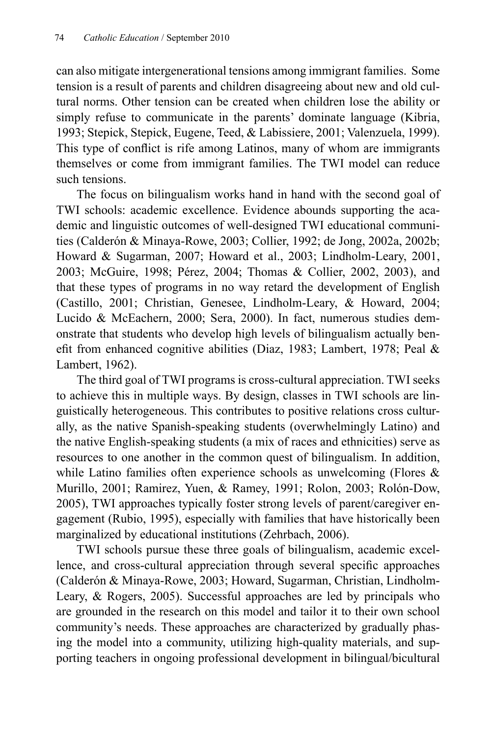can also mitigate intergenerational tensions among immigrant families. Some tension is a result of parents and children disagreeing about new and old cultural norms. Other tension can be created when children lose the ability or simply refuse to communicate in the parents' dominate language (Kibria, 1993; Stepick, Stepick, Eugene, Teed, & Labissiere, 2001; Valenzuela, 1999). This type of conflict is rife among Latinos, many of whom are immigrants themselves or come from immigrant families. The TWI model can reduce such tensions.

The focus on bilingualism works hand in hand with the second goal of TWI schools: academic excellence. Evidence abounds supporting the academic and linguistic outcomes of well-designed TWI educational communities (Calderón & Minaya-Rowe, 2003; Collier, 1992; de Jong, 2002a, 2002b; Howard & Sugarman, 2007; Howard et al., 2003; Lindholm-Leary, 2001, 2003; McGuire, 1998; Pérez, 2004; Thomas & Collier, 2002, 2003), and that these types of programs in no way retard the development of English (Castillo, 2001; Christian, Genesee, Lindholm-Leary, & Howard, 2004; Lucido & McEachern, 2000; Sera, 2000). In fact, numerous studies demonstrate that students who develop high levels of bilingualism actually benefit from enhanced cognitive abilities (Diaz, 1983; Lambert, 1978; Peal  $\&$ Lambert, 1962).

The third goal of TWI programs is cross-cultural appreciation. TWI seeks to achieve this in multiple ways. By design, classes in TWI schools are linguistically heterogeneous. This contributes to positive relations cross culturally, as the native Spanish-speaking students (overwhelmingly Latino) and the native English-speaking students (a mix of races and ethnicities) serve as resources to one another in the common quest of bilingualism. In addition, while Latino families often experience schools as unwelcoming (Flores  $\&$ Murillo, 2001; Ramirez, Yuen, & Ramey, 1991; Rolon, 2003; Rolón-Dow, 2005), TWI approaches typically foster strong levels of parent/caregiver engagement (Rubio, 1995), especially with families that have historically been marginalized by educational institutions (Zehrbach, 2006).

TWI schools pursue these three goals of bilingualism, academic excellence, and cross-cultural appreciation through several specific approaches (Calderón & Minaya-Rowe, 2003; Howard, Sugarman, Christian, Lindholm-Leary, & Rogers, 2005). Successful approaches are led by principals who are grounded in the research on this model and tailor it to their own school community's needs. These approaches are characterized by gradually phasing the model into a community, utilizing high-quality materials, and supporting teachers in ongoing professional development in bilingual/bicultural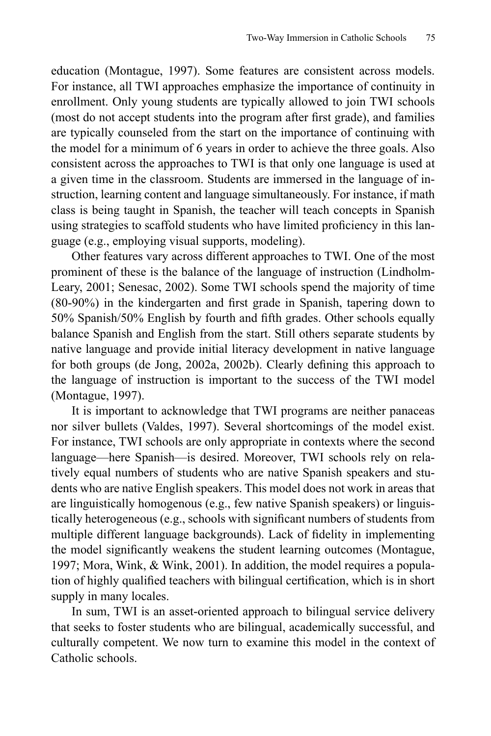education (Montague, 1997). Some features are consistent across models. For instance, all TWI approaches emphasize the importance of continuity in enrollment. Only young students are typically allowed to join TWI schools (most do not accept students into the program after first grade), and families are typically counseled from the start on the importance of continuing with the model for a minimum of 6 years in order to achieve the three goals. Also consistent across the approaches to TWI is that only one language is used at a given time in the classroom. Students are immersed in the language of instruction, learning content and language simultaneously. For instance, if math class is being taught in Spanish, the teacher will teach concepts in Spanish using strategies to scaffold students who have limited proficiency in this language (e.g., employing visual supports, modeling).

Other features vary across different approaches to TWI. One of the most prominent of these is the balance of the language of instruction (Lindholm-Leary, 2001; Senesac, 2002). Some TWI schools spend the majority of time  $(80-90%)$  in the kindergarten and first grade in Spanish, tapering down to 50% Spanish/50% English by fourth and fifth grades. Other schools equally balance Spanish and English from the start. Still others separate students by native language and provide initial literacy development in native language for both groups (de Jong, 2002a, 2002b). Clearly defining this approach to the language of instruction is important to the success of the TWI model (Montague, 1997).

It is important to acknowledge that TWI programs are neither panaceas nor silver bullets (Valdes, 1997). Several shortcomings of the model exist. For instance, TWI schools are only appropriate in contexts where the second language—here Spanish—is desired. Moreover, TWI schools rely on relatively equal numbers of students who are native Spanish speakers and students who are native English speakers. This model does not work in areas that are linguistically homogenous (e.g., few native Spanish speakers) or linguistically heterogeneous (e.g., schools with significant numbers of students from multiple different language backgrounds). Lack of fidelity in implementing the model significantly weakens the student learning outcomes (Montague, 1997; Mora, Wink, & Wink, 2001). In addition, the model requires a population of highly qualified teachers with bilingual certification, which is in short supply in many locales.

In sum, TWI is an asset-oriented approach to bilingual service delivery that seeks to foster students who are bilingual, academically successful, and culturally competent. We now turn to examine this model in the context of Catholic schools.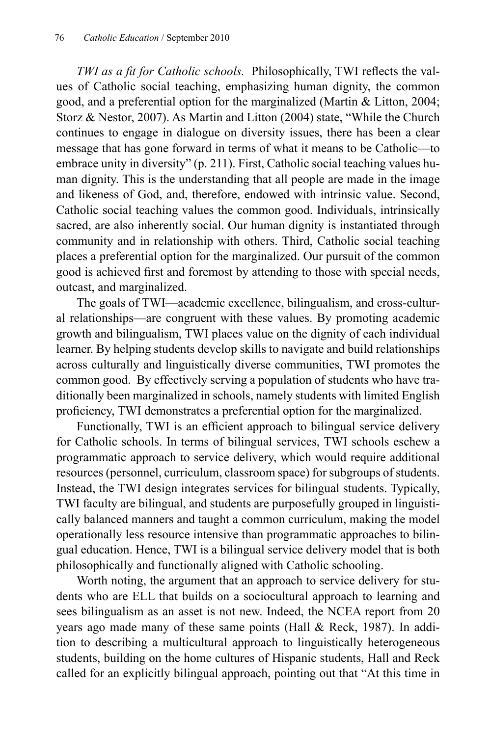*TWI as a fit for Catholic schools.* Philosophically, TWI reflects the values of Catholic social teaching, emphasizing human dignity, the common good, and a preferential option for the marginalized (Martin & Litton, 2004; Storz & Nestor, 2007). As Martin and Litton (2004) state, "While the Church continues to engage in dialogue on diversity issues, there has been a clear message that has gone forward in terms of what it means to be Catholic—to embrace unity in diversity" (p. 211). First, Catholic social teaching values human dignity. This is the understanding that all people are made in the image and likeness of God, and, therefore, endowed with intrinsic value. Second, Catholic social teaching values the common good. Individuals, intrinsically sacred, are also inherently social. Our human dignity is instantiated through community and in relationship with others. Third, Catholic social teaching places a preferential option for the marginalized. Our pursuit of the common good is achieved first and foremost by attending to those with special needs, outcast, and marginalized.

The goals of TWI—academic excellence, bilingualism, and cross-cultural relationships—are congruent with these values. By promoting academic growth and bilingualism, TWI places value on the dignity of each individual learner. By helping students develop skills to navigate and build relationships across culturally and linguistically diverse communities, TWI promotes the common good. By effectively serving a population of students who have traditionally been marginalized in schools, namely students with limited English proficiency, TWI demonstrates a preferential option for the marginalized.

Functionally, TWI is an efficient approach to bilingual service delivery for Catholic schools. In terms of bilingual services, TWI schools eschew a programmatic approach to service delivery, which would require additional resources (personnel, curriculum, classroom space) for subgroups of students. Instead, the TWI design integrates services for bilingual students. Typically, TWI faculty are bilingual, and students are purposefully grouped in linguistically balanced manners and taught a common curriculum, making the model operationally less resource intensive than programmatic approaches to bilingual education. Hence, TWI is a bilingual service delivery model that is both philosophically and functionally aligned with Catholic schooling.

Worth noting, the argument that an approach to service delivery for students who are ELL that builds on a sociocultural approach to learning and sees bilingualism as an asset is not new. Indeed, the NCEA report from 20 years ago made many of these same points (Hall & Reck, 1987). In addition to describing a multicultural approach to linguistically heterogeneous students, building on the home cultures of Hispanic students, Hall and Reck called for an explicitly bilingual approach, pointing out that "At this time in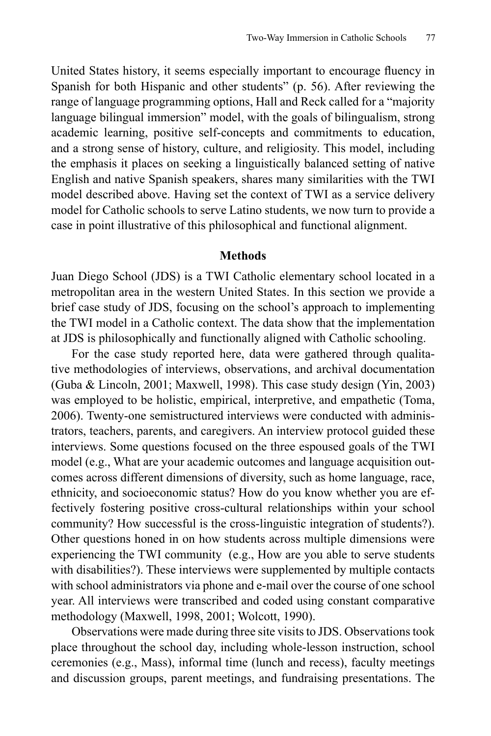United States history, it seems especially important to encourage fluency in Spanish for both Hispanic and other students" (p. 56). After reviewing the range of language programming options, Hall and Reck called for a "majority language bilingual immersion" model, with the goals of bilingualism, strong academic learning, positive self-concepts and commitments to education, and a strong sense of history, culture, and religiosity. This model, including the emphasis it places on seeking a linguistically balanced setting of native English and native Spanish speakers, shares many similarities with the TWI model described above. Having set the context of TWI as a service delivery model for Catholic schools to serve Latino students, we now turn to provide a case in point illustrative of this philosophical and functional alignment.

#### **Methods**

Juan Diego School (JDS) is a TWI Catholic elementary school located in a metropolitan area in the western United States. In this section we provide a brief case study of JDS, focusing on the school's approach to implementing the TWI model in a Catholic context. The data show that the implementation at JDS is philosophically and functionally aligned with Catholic schooling.

For the case study reported here, data were gathered through qualitative methodologies of interviews, observations, and archival documentation (Guba & Lincoln, 2001; Maxwell, 1998). This case study design (Yin, 2003) was employed to be holistic, empirical, interpretive, and empathetic (Toma, 2006). Twenty-one semistructured interviews were conducted with administrators, teachers, parents, and caregivers. An interview protocol guided these interviews. Some questions focused on the three espoused goals of the TWI model (e.g., What are your academic outcomes and language acquisition outcomes across different dimensions of diversity, such as home language, race, ethnicity, and socioeconomic status? How do you know whether you are effectively fostering positive cross-cultural relationships within your school community? How successful is the cross-linguistic integration of students?). Other questions honed in on how students across multiple dimensions were experiencing the TWI community (e.g., How are you able to serve students with disabilities?). These interviews were supplemented by multiple contacts with school administrators via phone and e-mail over the course of one school year. All interviews were transcribed and coded using constant comparative methodology (Maxwell, 1998, 2001; Wolcott, 1990).

Observations were made during three site visits to JDS. Observations took place throughout the school day, including whole-lesson instruction, school ceremonies (e.g., Mass), informal time (lunch and recess), faculty meetings and discussion groups, parent meetings, and fundraising presentations. The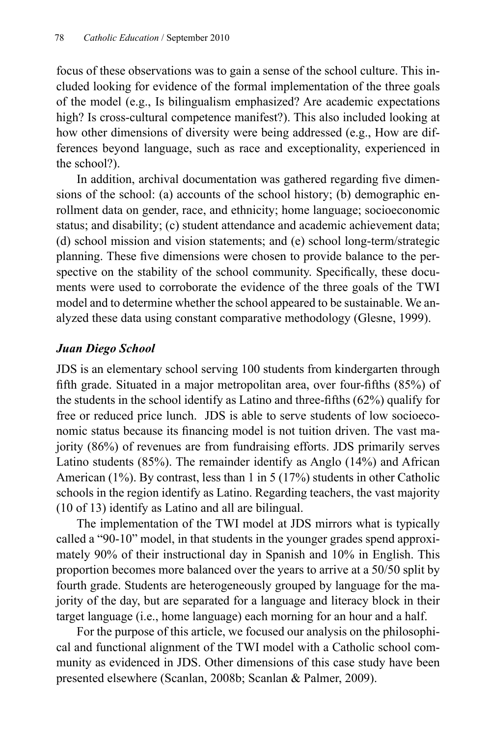focus of these observations was to gain a sense of the school culture. This included looking for evidence of the formal implementation of the three goals of the model (e.g., Is bilingualism emphasized? Are academic expectations high? Is cross-cultural competence manifest?). This also included looking at how other dimensions of diversity were being addressed (e.g., How are differences beyond language, such as race and exceptionality, experienced in the school?).

In addition, archival documentation was gathered regarding five dimensions of the school: (a) accounts of the school history; (b) demographic enrollment data on gender, race, and ethnicity; home language; socioeconomic status; and disability; (c) student attendance and academic achievement data; (d) school mission and vision statements; and (e) school long-term/strategic planning. These five dimensions were chosen to provide balance to the perspective on the stability of the school community. Specifically, these documents were used to corroborate the evidence of the three goals of the TWI model and to determine whether the school appeared to be sustainable. We analyzed these data using constant comparative methodology (Glesne, 1999).

## *Juan Diego School*

JDS is an elementary school serving 100 students from kindergarten through fifth grade. Situated in a major metropolitan area, over four-fifths  $(85%)$  of the students in the school identify as Latino and three-fifths  $(62%)$  qualify for free or reduced price lunch. JDS is able to serve students of low socioeconomic status because its financing model is not tuition driven. The vast majority (86%) of revenues are from fundraising efforts. JDS primarily serves Latino students (85%). The remainder identify as Anglo (14%) and African American (1%). By contrast, less than 1 in 5 (17%) students in other Catholic schools in the region identify as Latino. Regarding teachers, the vast majority (10 of 13) identify as Latino and all are bilingual.

The implementation of the TWI model at JDS mirrors what is typically called a "90-10" model, in that students in the younger grades spend approximately 90% of their instructional day in Spanish and 10% in English. This proportion becomes more balanced over the years to arrive at a 50/50 split by fourth grade. Students are heterogeneously grouped by language for the majority of the day, but are separated for a language and literacy block in their target language (i.e., home language) each morning for an hour and a half.

For the purpose of this article, we focused our analysis on the philosophical and functional alignment of the TWI model with a Catholic school community as evidenced in JDS. Other dimensions of this case study have been presented elsewhere (Scanlan, 2008b; Scanlan & Palmer, 2009).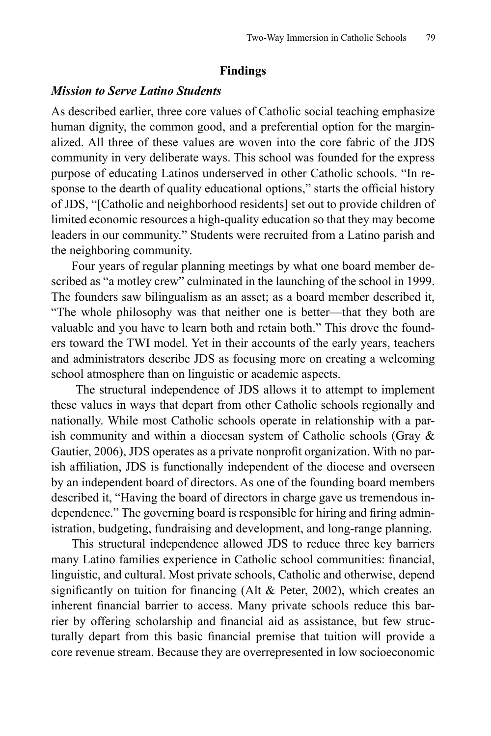#### **Findings**

#### *Mission to Serve Latino Students*

As described earlier, three core values of Catholic social teaching emphasize human dignity, the common good, and a preferential option for the marginalized. All three of these values are woven into the core fabric of the JDS community in very deliberate ways. This school was founded for the express purpose of educating Latinos underserved in other Catholic schools. "In response to the dearth of quality educational options," starts the official history of JDS, "[Catholic and neighborhood residents] set out to provide children of limited economic resources a high-quality education so that they may become leaders in our community." Students were recruited from a Latino parish and the neighboring community.

Four years of regular planning meetings by what one board member described as "a motley crew" culminated in the launching of the school in 1999. The founders saw bilingualism as an asset; as a board member described it, "The whole philosophy was that neither one is better—that they both are valuable and you have to learn both and retain both." This drove the founders toward the TWI model. Yet in their accounts of the early years, teachers and administrators describe JDS as focusing more on creating a welcoming school atmosphere than on linguistic or academic aspects.

 The structural independence of JDS allows it to attempt to implement these values in ways that depart from other Catholic schools regionally and nationally. While most Catholic schools operate in relationship with a parish community and within a diocesan system of Catholic schools (Gray  $\&$ Gautier, 2006), JDS operates as a private nonprofit organization. With no parish affiliation, JDS is functionally independent of the diocese and overseen by an independent board of directors. As one of the founding board members described it, "Having the board of directors in charge gave us tremendous independence." The governing board is responsible for hiring and firing administration, budgeting, fundraising and development, and long-range planning.

This structural independence allowed JDS to reduce three key barriers many Latino families experience in Catholic school communities: financial, linguistic, and cultural. Most private schools, Catholic and otherwise, depend significantly on tuition for financing (Alt  $&$  Peter, 2002), which creates an inherent financial barrier to access. Many private schools reduce this barrier by offering scholarship and financial aid as assistance, but few structurally depart from this basic financial premise that tuition will provide a core revenue stream. Because they are overrepresented in low socioeconomic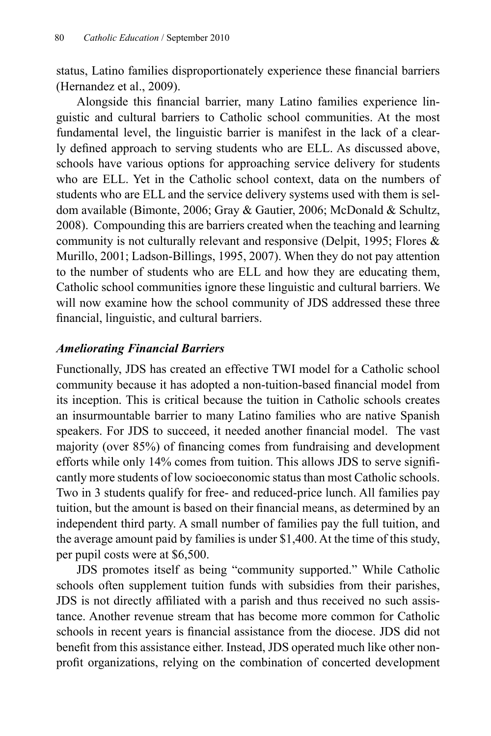status, Latino families disproportionately experience these financial barriers (Hernandez et al., 2009).

Alongside this financial barrier, many Latino families experience linguistic and cultural barriers to Catholic school communities. At the most fundamental level, the linguistic barrier is manifest in the lack of a clearly defined approach to serving students who are ELL. As discussed above, schools have various options for approaching service delivery for students who are ELL. Yet in the Catholic school context, data on the numbers of students who are ELL and the service delivery systems used with them is seldom available (Bimonte, 2006; Gray & Gautier, 2006; McDonald & Schultz, 2008). Compounding this are barriers created when the teaching and learning community is not culturally relevant and responsive (Delpit, 1995; Flores & Murillo, 2001; Ladson-Billings, 1995, 2007). When they do not pay attention to the number of students who are ELL and how they are educating them, Catholic school communities ignore these linguistic and cultural barriers. We will now examine how the school community of JDS addressed these three financial, linguistic, and cultural barriers.

## *Ameliorating Financial Barriers*

Functionally, JDS has created an effective TWI model for a Catholic school community because it has adopted a non-tuition-based financial model from its inception. This is critical because the tuition in Catholic schools creates an insurmountable barrier to many Latino families who are native Spanish speakers. For JDS to succeed, it needed another financial model. The vast majority (over 85%) of financing comes from fundraising and development efforts while only 14% comes from tuition. This allows JDS to serve significantly more students of low socioeconomic status than most Catholic schools. Two in 3 students qualify for free- and reduced-price lunch. All families pay tuition, but the amount is based on their financial means, as determined by an independent third party. A small number of families pay the full tuition, and the average amount paid by families is under \$1,400. At the time of this study, per pupil costs were at \$6,500.

JDS promotes itself as being "community supported." While Catholic schools often supplement tuition funds with subsidies from their parishes, JDS is not directly affiliated with a parish and thus received no such assistance. Another revenue stream that has become more common for Catholic schools in recent years is financial assistance from the diocese. JDS did not benefit from this assistance either. Instead, JDS operated much like other nonprofit organizations, relying on the combination of concerted development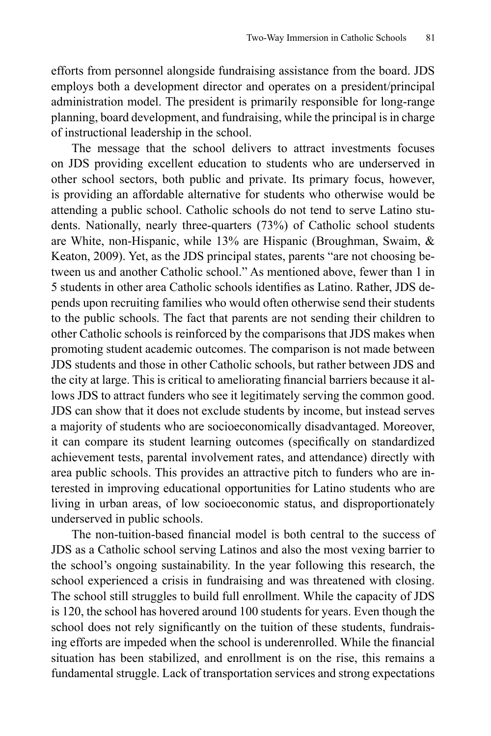efforts from personnel alongside fundraising assistance from the board. JDS employs both a development director and operates on a president/principal administration model. The president is primarily responsible for long-range planning, board development, and fundraising, while the principal is in charge of instructional leadership in the school.

The message that the school delivers to attract investments focuses on JDS providing excellent education to students who are underserved in other school sectors, both public and private. Its primary focus, however, is providing an affordable alternative for students who otherwise would be attending a public school. Catholic schools do not tend to serve Latino students. Nationally, nearly three-quarters (73%) of Catholic school students are White, non-Hispanic, while 13% are Hispanic (Broughman, Swaim, & Keaton, 2009). Yet, as the JDS principal states, parents "are not choosing between us and another Catholic school." As mentioned above, fewer than 1 in 5 students in other area Catholic schools identifies as Latino. Rather, JDS depends upon recruiting families who would often otherwise send their students to the public schools. The fact that parents are not sending their children to other Catholic schools is reinforced by the comparisons that JDS makes when promoting student academic outcomes. The comparison is not made between JDS students and those in other Catholic schools, but rather between JDS and the city at large. This is critical to ameliorating financial barriers because it allows JDS to attract funders who see it legitimately serving the common good. JDS can show that it does not exclude students by income, but instead serves a majority of students who are socioeconomically disadvantaged. Moreover, it can compare its student learning outcomes (specifically on standardized achievement tests, parental involvement rates, and attendance) directly with area public schools. This provides an attractive pitch to funders who are interested in improving educational opportunities for Latino students who are living in urban areas, of low socioeconomic status, and disproportionately underserved in public schools.

The non-tuition-based financial model is both central to the success of JDS as a Catholic school serving Latinos and also the most vexing barrier to the school's ongoing sustainability. In the year following this research, the school experienced a crisis in fundraising and was threatened with closing. The school still struggles to build full enrollment. While the capacity of JDS is 120, the school has hovered around 100 students for years. Even though the school does not rely significantly on the tuition of these students, fundraising efforts are impeded when the school is underenrolled. While the financial situation has been stabilized, and enrollment is on the rise, this remains a fundamental struggle. Lack of transportation services and strong expectations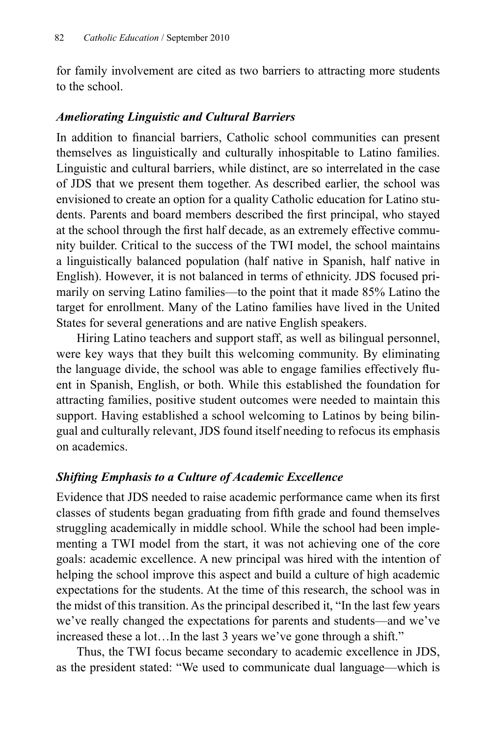for family involvement are cited as two barriers to attracting more students to the school.

### *Ameliorating Linguistic and Cultural Barriers*

In addition to financial barriers, Catholic school communities can present themselves as linguistically and culturally inhospitable to Latino families. Linguistic and cultural barriers, while distinct, are so interrelated in the case of JDS that we present them together. As described earlier, the school was envisioned to create an option for a quality Catholic education for Latino students. Parents and board members described the first principal, who stayed at the school through the first half decade, as an extremely effective community builder. Critical to the success of the TWI model, the school maintains a linguistically balanced population (half native in Spanish, half native in English). However, it is not balanced in terms of ethnicity. JDS focused primarily on serving Latino families—to the point that it made 85% Latino the target for enrollment. Many of the Latino families have lived in the United States for several generations and are native English speakers.

Hiring Latino teachers and support staff, as well as bilingual personnel, were key ways that they built this welcoming community. By eliminating the language divide, the school was able to engage families effectively fluent in Spanish, English, or both. While this established the foundation for attracting families, positive student outcomes were needed to maintain this support. Having established a school welcoming to Latinos by being bilingual and culturally relevant, JDS found itself needing to refocus its emphasis on academics.

## *Shifting Emphasis to a Culture of Academic Excellence*

Evidence that JDS needed to raise academic performance came when its first classes of students began graduating from fifth grade and found themselves struggling academically in middle school. While the school had been implementing a TWI model from the start, it was not achieving one of the core goals: academic excellence. A new principal was hired with the intention of helping the school improve this aspect and build a culture of high academic expectations for the students. At the time of this research, the school was in the midst of this transition. As the principal described it, "In the last few years we've really changed the expectations for parents and students—and we've increased these a lot…In the last 3 years we've gone through a shift."

Thus, the TWI focus became secondary to academic excellence in JDS, as the president stated: "We used to communicate dual language—which is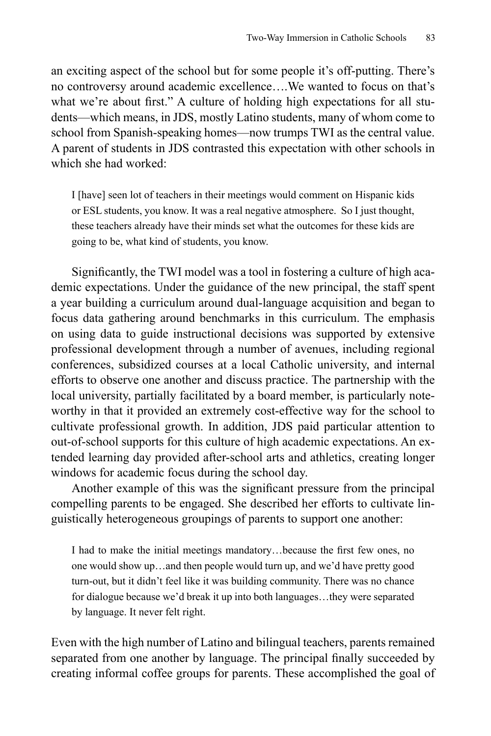an exciting aspect of the school but for some people it's off-putting. There's no controversy around academic excellence….We wanted to focus on that's what we're about first." A culture of holding high expectations for all students—which means, in JDS, mostly Latino students, many of whom come to school from Spanish-speaking homes—now trumps TWI as the central value. A parent of students in JDS contrasted this expectation with other schools in which she had worked:

I [have] seen lot of teachers in their meetings would comment on Hispanic kids or ESL students, you know. It was a real negative atmosphere. So I just thought, these teachers already have their minds set what the outcomes for these kids are going to be, what kind of students, you know.

Significantly, the TWI model was a tool in fostering a culture of high academic expectations. Under the guidance of the new principal, the staff spent a year building a curriculum around dual-language acquisition and began to focus data gathering around benchmarks in this curriculum. The emphasis on using data to guide instructional decisions was supported by extensive professional development through a number of avenues, including regional conferences, subsidized courses at a local Catholic university, and internal efforts to observe one another and discuss practice. The partnership with the local university, partially facilitated by a board member, is particularly noteworthy in that it provided an extremely cost-effective way for the school to cultivate professional growth. In addition, JDS paid particular attention to out-of-school supports for this culture of high academic expectations. An extended learning day provided after-school arts and athletics, creating longer windows for academic focus during the school day.

Another example of this was the significant pressure from the principal compelling parents to be engaged. She described her efforts to cultivate linguistically heterogeneous groupings of parents to support one another:

I had to make the initial meetings mandatory...because the first few ones, no one would show up…and then people would turn up, and we'd have pretty good turn-out, but it didn't feel like it was building community. There was no chance for dialogue because we'd break it up into both languages…they were separated by language. It never felt right.

Even with the high number of Latino and bilingual teachers, parents remained separated from one another by language. The principal finally succeeded by creating informal coffee groups for parents. These accomplished the goal of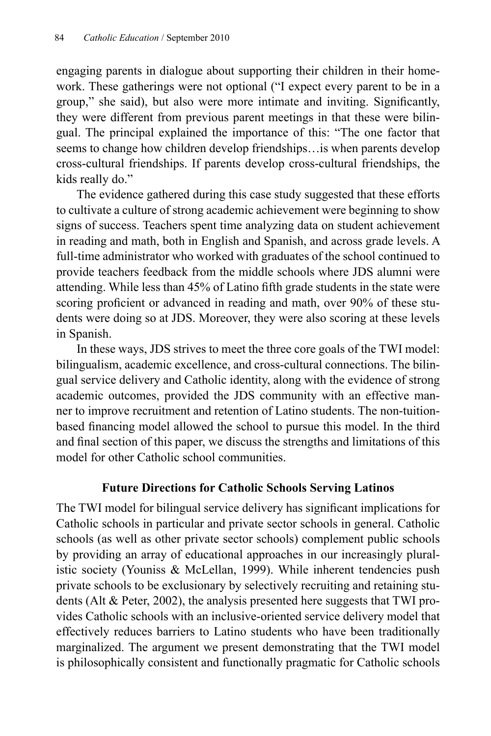engaging parents in dialogue about supporting their children in their homework. These gatherings were not optional ("I expect every parent to be in a group," she said), but also were more intimate and inviting. Significantly, they were different from previous parent meetings in that these were bilingual. The principal explained the importance of this: "The one factor that seems to change how children develop friendships…is when parents develop cross-cultural friendships. If parents develop cross-cultural friendships, the kids really do."

The evidence gathered during this case study suggested that these efforts to cultivate a culture of strong academic achievement were beginning to show signs of success. Teachers spent time analyzing data on student achievement in reading and math, both in English and Spanish, and across grade levels. A full-time administrator who worked with graduates of the school continued to provide teachers feedback from the middle schools where JDS alumni were attending. While less than 45% of Latino fifth grade students in the state were scoring proficient or advanced in reading and math, over 90% of these students were doing so at JDS. Moreover, they were also scoring at these levels in Spanish.

In these ways, JDS strives to meet the three core goals of the TWI model: bilingualism, academic excellence, and cross-cultural connections. The bilingual service delivery and Catholic identity, along with the evidence of strong academic outcomes, provided the JDS community with an effective manner to improve recruitment and retention of Latino students. The non-tuitionbased financing model allowed the school to pursue this model. In the third and final section of this paper, we discuss the strengths and limitations of this model for other Catholic school communities.

## **Future Directions for Catholic Schools Serving Latinos**

The TWI model for bilingual service delivery has significant implications for Catholic schools in particular and private sector schools in general. Catholic schools (as well as other private sector schools) complement public schools by providing an array of educational approaches in our increasingly pluralistic society (Youniss & McLellan, 1999). While inherent tendencies push private schools to be exclusionary by selectively recruiting and retaining students (Alt & Peter, 2002), the analysis presented here suggests that TWI provides Catholic schools with an inclusive-oriented service delivery model that effectively reduces barriers to Latino students who have been traditionally marginalized. The argument we present demonstrating that the TWI model is philosophically consistent and functionally pragmatic for Catholic schools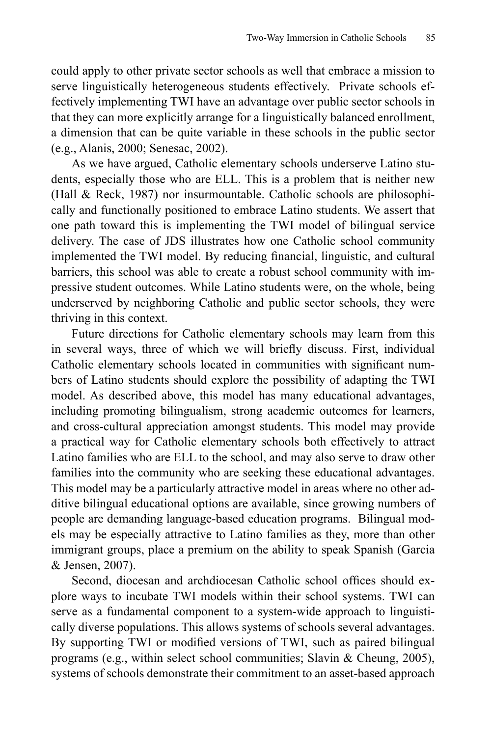could apply to other private sector schools as well that embrace a mission to serve linguistically heterogeneous students effectively. Private schools effectively implementing TWI have an advantage over public sector schools in that they can more explicitly arrange for a linguistically balanced enrollment, a dimension that can be quite variable in these schools in the public sector (e.g., Alanis, 2000; Senesac, 2002).

As we have argued, Catholic elementary schools underserve Latino students, especially those who are ELL. This is a problem that is neither new (Hall & Reck, 1987) nor insurmountable. Catholic schools are philosophically and functionally positioned to embrace Latino students. We assert that one path toward this is implementing the TWI model of bilingual service delivery. The case of JDS illustrates how one Catholic school community implemented the TWI model. By reducing financial, linguistic, and cultural barriers, this school was able to create a robust school community with impressive student outcomes. While Latino students were, on the whole, being underserved by neighboring Catholic and public sector schools, they were thriving in this context.

Future directions for Catholic elementary schools may learn from this in several ways, three of which we will briefly discuss. First, individual Catholic elementary schools located in communities with significant numbers of Latino students should explore the possibility of adapting the TWI model. As described above, this model has many educational advantages, including promoting bilingualism, strong academic outcomes for learners, and cross-cultural appreciation amongst students. This model may provide a practical way for Catholic elementary schools both effectively to attract Latino families who are ELL to the school, and may also serve to draw other families into the community who are seeking these educational advantages. This model may be a particularly attractive model in areas where no other additive bilingual educational options are available, since growing numbers of people are demanding language-based education programs. Bilingual models may be especially attractive to Latino families as they, more than other immigrant groups, place a premium on the ability to speak Spanish (Garcia & Jensen, 2007).

Second, diocesan and archdiocesan Catholic school offices should explore ways to incubate TWI models within their school systems. TWI can serve as a fundamental component to a system-wide approach to linguistically diverse populations. This allows systems of schools several advantages. By supporting TWI or modified versions of TWI, such as paired bilingual programs (e.g., within select school communities; Slavin & Cheung, 2005), systems of schools demonstrate their commitment to an asset-based approach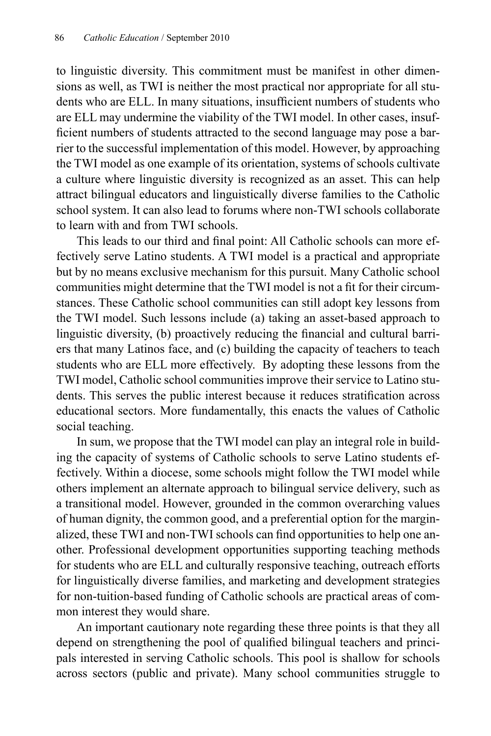to linguistic diversity. This commitment must be manifest in other dimensions as well, as TWI is neither the most practical nor appropriate for all students who are ELL. In many situations, insufficient numbers of students who are ELL may undermine the viability of the TWI model. In other cases, insufficient numbers of students attracted to the second language may pose a barrier to the successful implementation of this model. However, by approaching the TWI model as one example of its orientation, systems of schools cultivate a culture where linguistic diversity is recognized as an asset. This can help attract bilingual educators and linguistically diverse families to the Catholic school system. It can also lead to forums where non-TWI schools collaborate to learn with and from TWI schools.

This leads to our third and final point: All Catholic schools can more effectively serve Latino students. A TWI model is a practical and appropriate but by no means exclusive mechanism for this pursuit. Many Catholic school communities might determine that the TWI model is not a fit for their circumstances. These Catholic school communities can still adopt key lessons from the TWI model. Such lessons include (a) taking an asset-based approach to linguistic diversity, (b) proactively reducing the financial and cultural barriers that many Latinos face, and (c) building the capacity of teachers to teach students who are ELL more effectively. By adopting these lessons from the TWI model, Catholic school communities improve their service to Latino students. This serves the public interest because it reduces stratification across educational sectors. More fundamentally, this enacts the values of Catholic social teaching.

In sum, we propose that the TWI model can play an integral role in building the capacity of systems of Catholic schools to serve Latino students effectively. Within a diocese, some schools might follow the TWI model while others implement an alternate approach to bilingual service delivery, such as a transitional model. However, grounded in the common overarching values of human dignity, the common good, and a preferential option for the marginalized, these TWI and non-TWI schools can find opportunities to help one another. Professional development opportunities supporting teaching methods for students who are ELL and culturally responsive teaching, outreach efforts for linguistically diverse families, and marketing and development strategies for non-tuition-based funding of Catholic schools are practical areas of common interest they would share.

An important cautionary note regarding these three points is that they all depend on strengthening the pool of qualified bilingual teachers and principals interested in serving Catholic schools. This pool is shallow for schools across sectors (public and private). Many school communities struggle to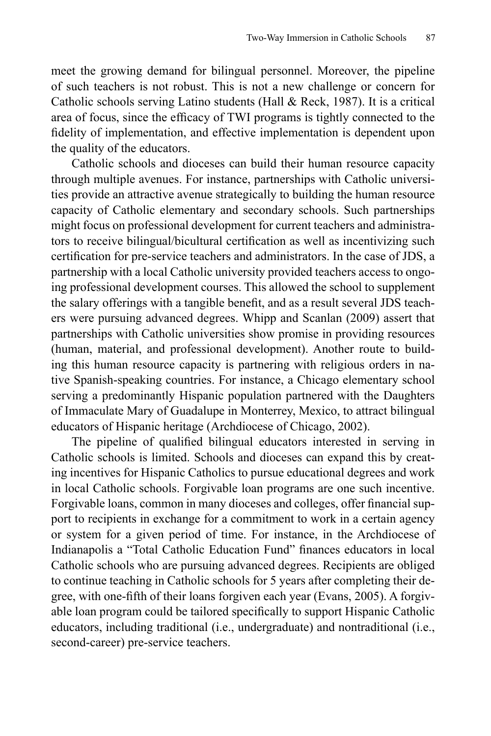meet the growing demand for bilingual personnel. Moreover, the pipeline of such teachers is not robust. This is not a new challenge or concern for Catholic schools serving Latino students (Hall & Reck, 1987). It is a critical area of focus, since the efficacy of TWI programs is tightly connected to the fidelity of implementation, and effective implementation is dependent upon the quality of the educators.

Catholic schools and dioceses can build their human resource capacity through multiple avenues. For instance, partnerships with Catholic universities provide an attractive avenue strategically to building the human resource capacity of Catholic elementary and secondary schools. Such partnerships might focus on professional development for current teachers and administrators to receive bilingual/bicultural certification as well as incentivizing such certification for pre-service teachers and administrators. In the case of JDS, a partnership with a local Catholic university provided teachers access to ongoing professional development courses. This allowed the school to supplement the salary offerings with a tangible benefit, and as a result several JDS teachers were pursuing advanced degrees. Whipp and Scanlan (2009) assert that partnerships with Catholic universities show promise in providing resources (human, material, and professional development). Another route to building this human resource capacity is partnering with religious orders in native Spanish-speaking countries. For instance, a Chicago elementary school serving a predominantly Hispanic population partnered with the Daughters of Immaculate Mary of Guadalupe in Monterrey, Mexico, to attract bilingual educators of Hispanic heritage (Archdiocese of Chicago, 2002).

The pipeline of qualified bilingual educators interested in serving in Catholic schools is limited. Schools and dioceses can expand this by creating incentives for Hispanic Catholics to pursue educational degrees and work in local Catholic schools. Forgivable loan programs are one such incentive. Forgivable loans, common in many dioceses and colleges, offer financial support to recipients in exchange for a commitment to work in a certain agency or system for a given period of time. For instance, in the Archdiocese of Indianapolis a "Total Catholic Education Fund" finances educators in local Catholic schools who are pursuing advanced degrees. Recipients are obliged to continue teaching in Catholic schools for 5 years after completing their degree, with one-fifth of their loans forgiven each year (Evans, 2005). A forgivable loan program could be tailored specifically to support Hispanic Catholic educators, including traditional (i.e., undergraduate) and nontraditional (i.e., second-career) pre-service teachers.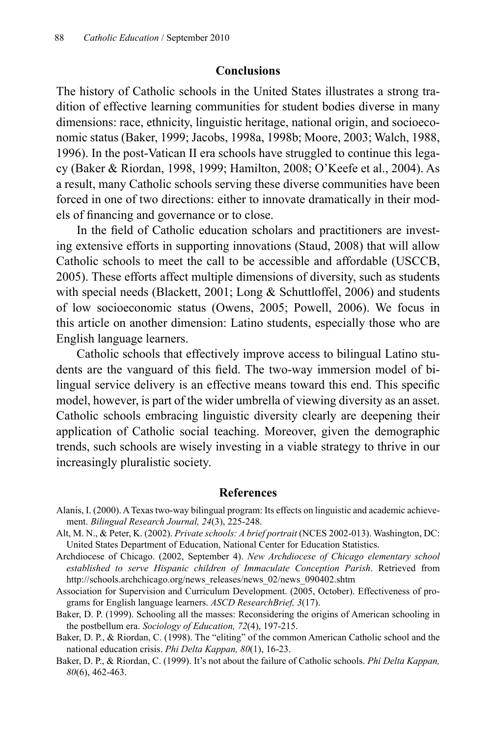#### **Conclusions**

The history of Catholic schools in the United States illustrates a strong tradition of effective learning communities for student bodies diverse in many dimensions: race, ethnicity, linguistic heritage, national origin, and socioeconomic status (Baker, 1999; Jacobs, 1998a, 1998b; Moore, 2003; Walch, 1988, 1996). In the post-Vatican II era schools have struggled to continue this legacy (Baker & Riordan, 1998, 1999; Hamilton, 2008; O'Keefe et al., 2004). As a result, many Catholic schools serving these diverse communities have been forced in one of two directions: either to innovate dramatically in their models of financing and governance or to close.

In the field of Catholic education scholars and practitioners are investing extensive efforts in supporting innovations (Staud, 2008) that will allow Catholic schools to meet the call to be accessible and affordable (USCCB, 2005). These efforts affect multiple dimensions of diversity, such as students with special needs (Blackett, 2001; Long & Schuttloffel, 2006) and students of low socioeconomic status (Owens, 2005; Powell, 2006). We focus in this article on another dimension: Latino students, especially those who are English language learners.

Catholic schools that effectively improve access to bilingual Latino students are the vanguard of this field. The two-way immersion model of bilingual service delivery is an effective means toward this end. This specific model, however, is part of the wider umbrella of viewing diversity as an asset. Catholic schools embracing linguistic diversity clearly are deepening their application of Catholic social teaching. Moreover, given the demographic trends, such schools are wisely investing in a viable strategy to thrive in our increasingly pluralistic society.

#### **References**

- Alanis, I. (2000). A Texas two-way bilingual program: Its effects on linguistic and academic achievement. *Bilingual Research Journal, 24*(3), 225-248.
- Alt, M. N., & Peter, K. (2002). *Private schools: A brief portrait* (NCES 2002-013). Washington, DC: United States Department of Education, National Center for Education Statistics.
- Archdiocese of Chicago. (2002, September 4). *New Archdiocese of Chicago elementary school established to serve Hispanic children of Immaculate Conception Parish*. Retrieved from http://schools.archchicago.org/news\_releases/news\_02/news\_090402.shtm
- Association for Supervision and Curriculum Development. (2005, October). Effectiveness of programs for English language learners. *ASCD ResearchBrief, 3*(17).
- Baker, D. P. (1999). Schooling all the masses: Reconsidering the origins of American schooling in the postbellum era. *Sociology of Education, 72*(4), 197-215.
- Baker, D. P., & Riordan, C. (1998). The "eliting" of the common American Catholic school and the national education crisis. *Phi Delta Kappan, 80*(1), 16-23.
- Baker, D. P., & Riordan, C. (1999). It's not about the failure of Catholic schools. *Phi Delta Kappan, 80*(6), 462-463.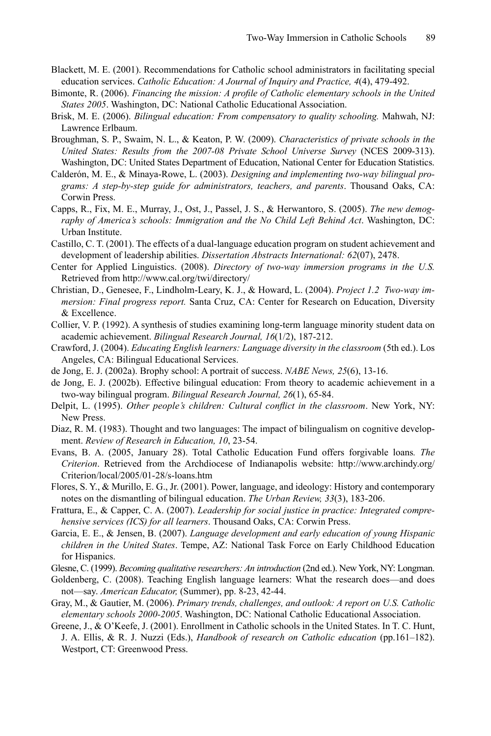- Blackett, M. E. (2001). Recommendations for Catholic school administrators in facilitating special education services. *Catholic Education: A Journal of Inquiry and Practice, 4*(4), 479-492.
- Bimonte, R. (2006). *Financing the mission: A profile of Catholic elementary schools in the United States 2005*. Washington, DC: National Catholic Educational Association.
- Brisk, M. E. (2006). *Bilingual education: From compensatory to quality schooling.* Mahwah, NJ: Lawrence Erlbaum.
- Broughman, S. P., Swaim, N. L., & Keaton, P. W. (2009). *Characteristics of private schools in the United States: Results from the 2007-08 Private School Universe Survey* (NCES 2009-313). Washington, DC: United States Department of Education, National Center for Education Statistics.
- Calderón, M. E., & Minaya-Rowe, L. (2003). *Designing and implementing two-way bilingual programs: A step-by-step guide for administrators, teachers, and parents*. Thousand Oaks, CA: Corwin Press.
- Capps, R., Fix, M. E., Murray, J., Ost, J., Passel, J. S., & Herwantoro, S. (2005). *The new demography of America's schools: Immigration and the No Child Left Behind Act*. Washington, DC: Urban Institute.
- Castillo, C. T. (2001). The effects of a dual-language education program on student achievement and development of leadership abilities. *Dissertation Abstracts International: 62*(07), 2478.
- Center for Applied Linguistics. (2008). *Directory of two-way immersion programs in the U.S.* Retrieved from http://www.cal.org/twi/directory/
- Christian, D., Genesee, F., Lindholm-Leary, K. J., & Howard, L. (2004). *Project 1.2 Two-way immersion: Final progress report.* Santa Cruz, CA: Center for Research on Education, Diversity & Excellence.
- Collier, V. P. (1992). A synthesis of studies examining long-term language minority student data on academic achievement. *Bilingual Research Journal, 16*(1/2), 187-212.
- Crawford, J. (2004). *Educating English learners: Language diversity in the classroom* (5th ed.). Los Angeles, CA: Bilingual Educational Services.
- de Jong, E. J. (2002a). Brophy school: A portrait of success. *NABE News, 25*(6), 13-16.
- de Jong, E. J. (2002b). Effective bilingual education: From theory to academic achievement in a two-way bilingual program. *Bilingual Research Journal, 26*(1), 65-84.
- Delpit, L. (1995). *Other people's children: Cultural conflict in the classroom*. New York, NY: New Press.
- Diaz, R. M. (1983). Thought and two languages: The impact of bilingualism on cognitive development. *Review of Research in Education, 10*, 23-54.
- Evans, B. A. (2005, January 28). Total Catholic Education Fund offers forgivable loans*. The Criterion*. Retrieved from the Archdiocese of Indianapolis website: http://www.archindy.org/ Criterion/local/2005/01-28/s-loans.htm
- Flores, S. Y., & Murillo, E. G., Jr. (2001). Power, language, and ideology: History and contemporary notes on the dismantling of bilingual education. *The Urban Review, 33*(3), 183-206.
- Frattura, E., & Capper, C. A. (2007). *Leadership for social justice in practice: Integrated comprehensive services (ICS) for all learners*. Thousand Oaks, CA: Corwin Press.
- Garcia, E. E., & Jensen, B. (2007). *Language development and early education of young Hispanic children in the United States*. Tempe, AZ: National Task Force on Early Childhood Education for Hispanics.
- Glesne, C. (1999). *Becoming qualitative researchers: An introduction* (2nd ed.). New York, NY: Longman.
- Goldenberg, C. (2008). Teaching English language learners: What the research does—and does not—say. *American Educator,* (Summer), pp. 8-23, 42-44.
- Gray, M., & Gautier, M. (2006). *Primary trends, challenges, and outlook: A report on U.S. Catholic elementary schools 2000-2005*. Washington, DC: National Catholic Educational Association.
- Greene, J., & O'Keefe, J. (2001). Enrollment in Catholic schools in the United States. In T. C. Hunt, J. A. Ellis, & R. J. Nuzzi (Eds.), *Handbook of research on Catholic education* (pp.161–182). Westport, CT: Greenwood Press.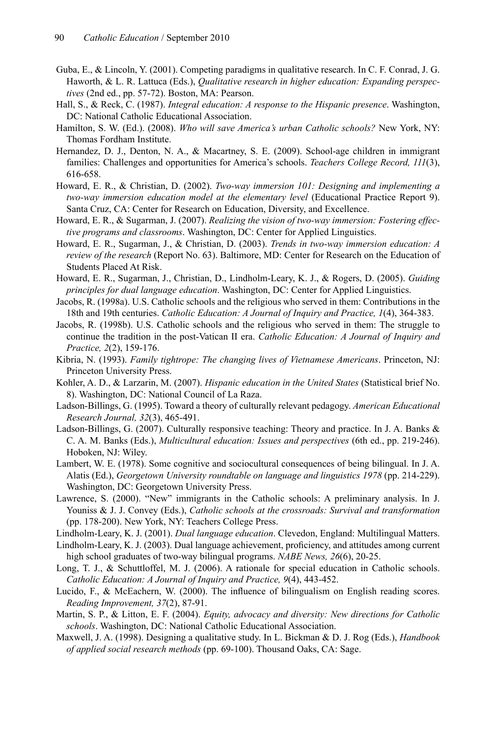- Guba, E., & Lincoln, Y. (2001). Competing paradigms in qualitative research. In C. F. Conrad, J. G. Haworth, & L. R. Lattuca (Eds.), *Qualitative research in higher education: Expanding perspectives* (2nd ed., pp. 57-72). Boston, MA: Pearson.
- Hall, S., & Reck, C. (1987). *Integral education: A response to the Hispanic presence*. Washington, DC: National Catholic Educational Association.
- Hamilton, S. W. (Ed.). (2008). *Who will save America's urban Catholic schools?* New York, NY: Thomas Fordham Institute.
- Hernandez, D. J., Denton, N. A., & Macartney, S. E. (2009). School-age children in immigrant families: Challenges and opportunities for America's schools. *Teachers College Record, 111*(3), 616-658.
- Howard, E. R., & Christian, D. (2002). *Two-way immersion 101: Designing and implementing a two-way immersion education model at the elementary level* (Educational Practice Report 9). Santa Cruz, CA: Center for Research on Education, Diversity, and Excellence.
- Howard, E. R., & Sugarman, J. (2007). *Realizing the vision of two-way immersion: Fostering effective programs and classrooms*. Washington, DC: Center for Applied Linguistics.
- Howard, E. R., Sugarman, J., & Christian, D. (2003). *Trends in two-way immersion education: A review of the research* (Report No. 63). Baltimore, MD: Center for Research on the Education of Students Placed At Risk.
- Howard, E. R., Sugarman, J., Christian, D., Lindholm-Leary, K. J., & Rogers, D. (2005). *Guiding principles for dual language education*. Washington, DC: Center for Applied Linguistics.
- Jacobs, R. (1998a). U.S. Catholic schools and the religious who served in them: Contributions in the 18th and 19th centuries. *Catholic Education: A Journal of Inquiry and Practice, 1*(4), 364-383.
- Jacobs, R. (1998b). U.S. Catholic schools and the religious who served in them: The struggle to continue the tradition in the post-Vatican II era. *Catholic Education: A Journal of Inquiry and Practice, 2*(2), 159-176.
- Kibria, N. (1993). *Family tightrope: The changing lives of Vietnamese Americans*. Princeton, NJ: Princeton University Press.
- Kohler, A. D., & Larzarin, M. (2007). *Hispanic education in the United States* (Statistical brief No. 8). Washington, DC: National Council of La Raza.
- Ladson-Billings, G. (1995). Toward a theory of culturally relevant pedagogy. *American Educational Research Journal, 32*(3), 465-491.
- Ladson-Billings, G. (2007). Culturally responsive teaching: Theory and practice. In J. A. Banks & C. A. M. Banks (Eds.), *Multicultural education: Issues and perspectives* (6th ed., pp. 219-246). Hoboken, NJ: Wiley.
- Lambert, W. E. (1978). Some cognitive and sociocultural consequences of being bilingual. In J. A. Alatis (Ed.), *Georgetown University roundtable on language and linguistics 1978* (pp. 214-229). Washington, DC: Georgetown University Press.
- Lawrence, S. (2000). "New" immigrants in the Catholic schools: A preliminary analysis. In J. Youniss & J. J. Convey (Eds.), *Catholic schools at the crossroads: Survival and transformation*  (pp. 178-200). New York, NY: Teachers College Press.
- Lindholm-Leary, K. J. (2001). *Dual language education*. Clevedon, England: Multilingual Matters.
- Lindholm-Leary, K. J. (2003). Dual language achievement, proficiency, and attitudes among current high school graduates of two-way bilingual programs. *NABE News, 26*(6), 20-25.
- Long, T. J., & Schuttloffel, M. J. (2006). A rationale for special education in Catholic schools. *Catholic Education: A Journal of Inquiry and Practice, 9*(4), 443-452.
- Lucido, F., & McEachern, W. (2000). The influence of bilingualism on English reading scores. *Reading Improvement, 37*(2), 87-91.
- Martin, S. P., & Litton, E. F. (2004). *Equity, advocacy and diversity: New directions for Catholic schools*. Washington, DC: National Catholic Educational Association.
- Maxwell, J. A. (1998). Designing a qualitative study. In L. Bickman & D. J. Rog (Eds.), *Handbook of applied social research methods* (pp. 69-100). Thousand Oaks, CA: Sage.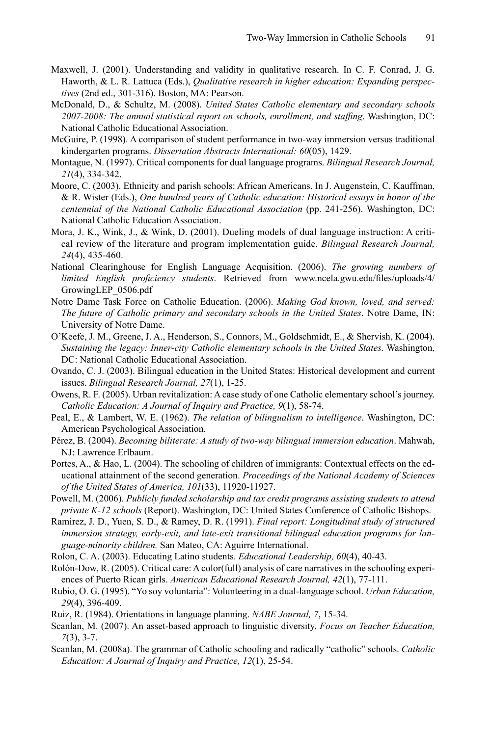- Maxwell, J. (2001). Understanding and validity in qualitative research. In C. F. Conrad, J. G. Haworth, & L. R. Lattuca (Eds.), *Qualitative research in higher education: Expanding perspectives* (2nd ed., 301-316). Boston, MA: Pearson.
- McDonald, D., & Schultz, M. (2008). *United States Catholic elementary and secondary schools*  2007-2008: The annual statistical report on schools, enrollment, and staffing. Washington, DC: National Catholic Educational Association.
- McGuire, P. (1998). A comparison of student performance in two-way immersion versus traditional kindergarten programs. *Dissertation Abstracts International: 60*(05), 1429.
- Montague, N. (1997). Critical components for dual language programs. *Bilingual Research Journal, 21*(4), 334-342.
- Moore, C. (2003). Ethnicity and parish schools: African Americans. In J. Augenstein, C. Kauffman, & R. Wister (Eds.), *One hundred years of Catholic education: Historical essays in honor of the centennial of the National Catholic Educational Association* (pp. 241-256). Washington, DC: National Catholic Education Association.
- Mora, J. K., Wink, J., & Wink, D. (2001). Dueling models of dual language instruction: A critical review of the literature and program implementation guide. *Bilingual Research Journal, 24*(4), 435-460.
- National Clearinghouse for English Language Acquisition. (2006). *The growing numbers of limited English proficiency students*. Retrieved from www.ncela.gwu.edu/files/uploads/4/ GrowingLEP\_0506.pdf
- Notre Dame Task Force on Catholic Education. (2006). *Making God known, loved, and served: The future of Catholic primary and secondary schools in the United States*. Notre Dame, IN: University of Notre Dame.
- O'Keefe, J. M., Greene, J. A., Henderson, S., Connors, M., Goldschmidt, E., & Shervish, K. (2004). *Sustaining the legacy: Inner-city Catholic elementary schools in the United States.* Washington, DC: National Catholic Educational Association.
- Ovando, C. J. (2003). Bilingual education in the United States: Historical development and current issues. *Bilingual Research Journal, 27*(1), 1-25.
- Owens, R. F. (2005). Urban revitalization: A case study of one Catholic elementary school's journey. *Catholic Education: A Journal of Inquiry and Practice, 9*(1), 58-74.
- Peal, E., & Lambert, W. E. (1962). *The relation of bilingualism to intelligence*. Washington, DC: American Psychological Association.
- Pérez, B. (2004). *Becoming biliterate: A study of two-way bilingual immersion education*. Mahwah, NJ: Lawrence Erlbaum.
- Portes, A., & Hao, L. (2004). The schooling of children of immigrants: Contextual effects on the educational attainment of the second generation. *Proceedings of the National Academy of Sciences of the United States of America, 101*(33), 11920-11927.
- Powell, M. (2006). *Publicly funded scholarship and tax credit programs assisting students to attend private K-12 schools* (Report). Washington, DC: United States Conference of Catholic Bishops.
- Ramirez, J. D., Yuen, S. D., & Ramey, D. R. (1991). *Final report: Longitudinal study of structured immersion strategy, early-exit, and late-exit transitional bilingual education programs for language-minority children.* San Mateo, CA: Aguirre International.
- Rolon, C. A. (2003). Educating Latino students. *Educational Leadership, 60*(4), 40-43.
- Rolón-Dow, R. (2005). Critical care: A color(full) analysis of care narratives in the schooling experiences of Puerto Rican girls. *American Educational Research Journal, 42*(1), 77-111.
- Rubio, O. G. (1995). "Yo soy voluntaria": Volunteering in a dual-language school. *Urban Education, 29*(4), 396-409.
- Ruiz, R. (1984). Orientations in language planning. *NABE Journal, 7*, 15-34.
- Scanlan, M. (2007). An asset-based approach to linguistic diversity. *Focus on Teacher Education, 7*(3), 3-7.
- Scanlan, M. (2008a). The grammar of Catholic schooling and radically "catholic" schools. *Catholic Education: A Journal of Inquiry and Practice, 12*(1), 25-54.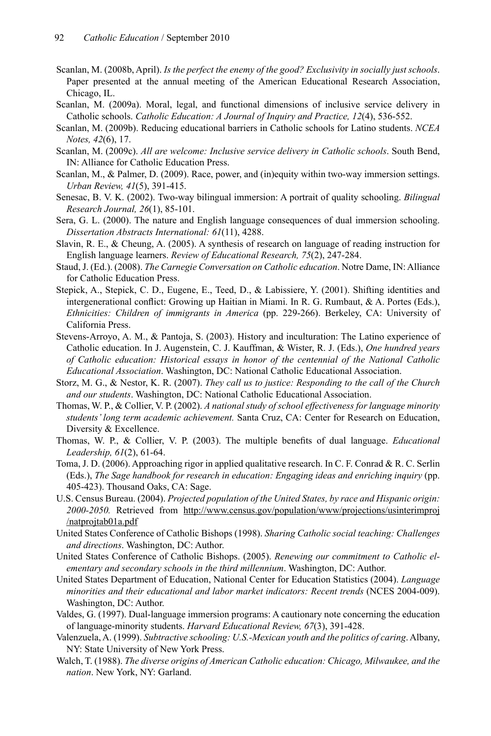- Scanlan, M. (2008b, April). *Is the perfect the enemy of the good? Exclusivity in socially just schools*. Paper presented at the annual meeting of the American Educational Research Association, Chicago, IL.
- Scanlan, M. (2009a). Moral, legal, and functional dimensions of inclusive service delivery in Catholic schools. *Catholic Education: A Journal of Inquiry and Practice, 12*(4), 536-552.
- Scanlan, M. (2009b). Reducing educational barriers in Catholic schools for Latino students. *NCEA Notes, 42*(6), 17.
- Scanlan, M. (2009c). *All are welcome: Inclusive service delivery in Catholic schools*. South Bend, IN: Alliance for Catholic Education Press.
- Scanlan, M., & Palmer, D. (2009). Race, power, and (in)equity within two-way immersion settings. *Urban Review, 41*(5), 391-415.
- Senesac, B. V. K. (2002). Two-way bilingual immersion: A portrait of quality schooling. *Bilingual Research Journal, 26*(1), 85-101.
- Sera, G. L. (2000). The nature and English language consequences of dual immersion schooling. *Dissertation Abstracts International: 61*(11), 4288.
- Slavin, R. E., & Cheung, A. (2005). A synthesis of research on language of reading instruction for English language learners. *Review of Educational Research, 75*(2), 247-284.
- Staud, J. (Ed.). (2008). *The Carnegie Conversation on Catholic education*. Notre Dame, IN: Alliance for Catholic Education Press.
- Stepick, A., Stepick, C. D., Eugene, E., Teed, D., & Labissiere, Y. (2001). Shifting identities and intergenerational conflict: Growing up Haitian in Miami. In R. G. Rumbaut, & A. Portes (Eds.), *Ethnicities: Children of immigrants in America* (pp. 229-266). Berkeley, CA: University of California Press.
- Stevens-Arroyo, A. M., & Pantoja, S. (2003). History and inculturation: The Latino experience of Catholic education. In J. Augenstein, C. J. Kauffman, & Wister, R. J. (Eds.), *One hundred years of Catholic education: Historical essays in honor of the centennial of the National Catholic Educational Association*. Washington, DC: National Catholic Educational Association.
- Storz, M. G., & Nestor, K. R. (2007). *They call us to justice: Responding to the call of the Church and our students*. Washington, DC: National Catholic Educational Association.
- Thomas, W. P., & Collier, V. P. (2002). *A national study of school effectiveness for language minority students' long term academic achievement.* Santa Cruz, CA: Center for Research on Education, Diversity & Excellence.
- Thomas, W. P., & Collier, V. P. (2003). The multiple benefits of dual language. *Educational Leadership, 61*(2), 61-64.
- Toma, J. D. (2006). Approaching rigor in applied qualitative research. In C. F. Conrad & R. C. Serlin (Eds.), *The Sage handbook for research in education: Engaging ideas and enriching inquiry* (pp. 405-423). Thousand Oaks, CA: Sage.
- U.S. Census Bureau. (2004). *Projected population of the United States, by race and Hispanic origin: 2000-2050.* Retrieved from http://www.census.gov/population/www/projections/usinterimproj /natprojtab01a.pdf
- United States Conference of Catholic Bishops (1998). *Sharing Catholic social teaching: Challenges and directions*. Washington, DC: Author.
- United States Conference of Catholic Bishops. (2005). *Renewing our commitment to Catholic elementary and secondary schools in the third millennium*. Washington, DC: Author.
- United States Department of Education, National Center for Education Statistics (2004). *Language minorities and their educational and labor market indicators: Recent trends* (NCES 2004-009). Washington, DC: Author.
- Valdes, G. (1997). Dual-language immersion programs: A cautionary note concerning the education of language-minority students. *Harvard Educational Review, 67*(3), 391-428.
- Valenzuela, A. (1999). *Subtractive schooling: U.S.-Mexican youth and the politics of caring*. Albany, NY: State University of New York Press.
- Walch, T. (1988). *The diverse origins of American Catholic education: Chicago, Milwaukee, and the nation*. New York, NY: Garland.